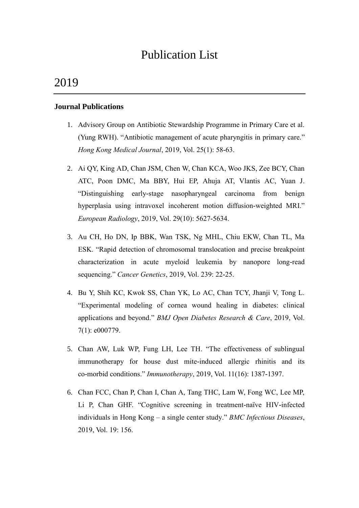# Publication List

# 2019

#### **Journal Publications**

- 1. Advisory Group on Antibiotic Stewardship Programme in Primary Care et al. (Yung RWH). "Antibiotic management of acute pharyngitis in primary care." *Hong Kong Medical Journal*, 2019, Vol. 25(1): 58-63.
- 2. Ai QY, King AD, Chan JSM, Chen W, Chan KCA, Woo JKS, Zee BCY, Chan ATC, Poon DMC, Ma BBY, Hui EP, Ahuja AT, Vlantis AC, Yuan J. "Distinguishing early-stage nasopharyngeal carcinoma from benign hyperplasia using intravoxel incoherent motion diffusion-weighted MRI." *European Radiology*, 2019, Vol. 29(10): 5627-5634.
- 3. Au CH, Ho DN, Ip BBK, Wan TSK, Ng MHL, Chiu EKW, Chan TL, Ma ESK. "Rapid detection of chromosomal translocation and precise breakpoint characterization in acute myeloid leukemia by nanopore long-read sequencing." *Cancer Genetics*, 2019, Vol. 239: 22-25.
- 4. Bu Y, Shih KC, Kwok SS, Chan YK, Lo AC, Chan TCY, Jhanji V, Tong L. "Experimental modeling of cornea wound healing in diabetes: clinical applications and beyond." *BMJ Open Diabetes Research & Care*, 2019, Vol. 7(1): e000779.
- 5. Chan AW, Luk WP, Fung LH, Lee TH. "The effectiveness of sublingual immunotherapy for house dust mite-induced allergic rhinitis and its co-morbid conditions." *Immunotherapy*, 2019, Vol. 11(16): 1387-1397.
- 6. Chan FCC, Chan P, Chan I, Chan A, Tang THC, Lam W, Fong WC, Lee MP, Li P, Chan GHF. "Cognitive screening in treatment-naïve HIV-infected individuals in Hong Kong – a single center study." *BMC Infectious Diseases*, 2019, Vol. 19: 156.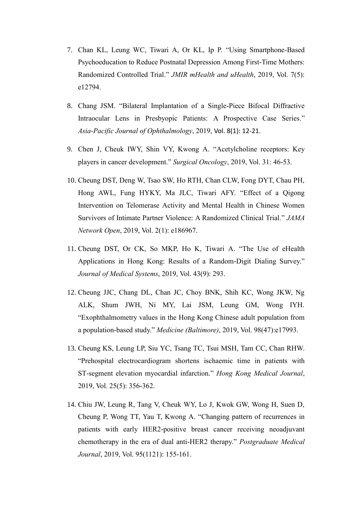- 7. Chan KL, Leung WC, Tiwari A, Or KL, Ip P. "Using Smartphone-Based Psychoeducation to Reduce Postnatal Depression Among First-Time Mothers: Randomized Controlled Trial." *JMIR mHealth and uHealth*, 2019, Vol. 7(5): e12794.
- 8. Chang JSM. "Bilateral Implantation of a Single-Piece Bifocal Diffractive Intraocular Lens in Presbyopic Patients: A Prospective Case Series." *Asia-Pacific Journal of Ophthalmology*, 2019, Vol. 8(1): 12-21.
- 9. Chen J, Cheuk IWY, Shin VY, Kwong A. "Acetylcholine receptors: Key players in cancer development." *Surgical Oncology*, 2019, Vol. 31: 46-53.
- 10. Cheung DST, Deng W, Tsao SW, Ho RTH, Chan CLW, Fong DYT, Chau PH, Hong AWL, Fung HYKY, Ma JLC, Tiwari AFY. "Effect of a Qigong Intervention on Telomerase Activity and Mental Health in Chinese Women Survivors of Intimate Partner Violence: A Randomized Clinical Trial." *JAMA Network Open*, 2019, Vol. 2(1): e186967.
- 11. Cheung DST, Or CK, So MKP, Ho K, Tiwari A. "The Use of eHealth Applications in Hong Kong: Results of a Random-Digit Dialing Survey." *Journal of Medical Systems*, 2019, Vol. 43(9): 293.
- 12. Cheung JJC, Chang DL, Chan JC, Choy BNK, Shih KC, Wong JKW, Ng ALK, Shum JWH, Ni MY, Lai JSM, Leung GM, Wong IYH. "Exophthalmometry values in the Hong Kong Chinese adult population from a population-based study." *Medicine (Baltimore)*, 2019, Vol. 98(47):e17993.
- 13. Cheung KS, Leung LP, Siu YC, Tsang TC, Tsui MSH, Tam CC, Chan RHW. "Prehospital electrocardiogram shortens ischaemic time in patients with ST-segment elevation myocardial infarction." *Hong Kong Medical Journal*, 2019, Vol. 25(5): 356-362.
- 14. Chiu JW, Leung R, Tang V, Cheuk WY, Lo J, Kwok GW, Wong H, Suen D, Cheung P, Wong TT, Yau T, Kwong A. "Changing pattern of recurrences in patients with early HER2-positive breast cancer receiving neoadjuvant chemotherapy in the era of dual anti-HER2 therapy." *Postgraduate Medical Journal*, 2019, Vol. 95(1121): 155-161.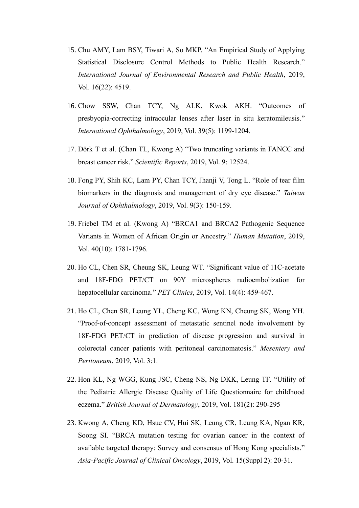- 15. Chu AMY, Lam BSY, Tiwari A, So MKP. "An Empirical Study of Applying Statistical Disclosure Control Methods to Public Health Research." *International Journal of Environmental Research and Public Health*, 2019, Vol. 16(22): 4519.
- 16. Chow SSW, Chan TCY, Ng ALK, Kwok AKH. "Outcomes of presbyopia-correcting intraocular lenses after laser in situ keratomileusis." *International Ophthalmology*, 2019, Vol. 39(5): 1199-1204.
- 17. Dörk T et al. (Chan TL, Kwong A) "Two truncating variants in FANCC and breast cancer risk." *Scientific Reports*, 2019, Vol. 9: 12524.
- 18. Fong PY, Shih KC, Lam PY, Chan TCY, Jhanji V, Tong L. "Role of tear film biomarkers in the diagnosis and management of dry eye disease." *Taiwan Journal of Ophthalmology*, 2019, Vol. 9(3): 150-159.
- 19. Friebel TM et al. (Kwong A) "BRCA1 and BRCA2 Pathogenic Sequence Variants in Women of African Origin or Ancestry." *Human Mutation*, 2019, Vol. 40(10): 1781-1796.
- 20. Ho CL, Chen SR, Cheung SK, Leung WT. "Significant value of 11C-acetate and 18F-FDG PET/CT on 90Y microspheres radioembolization for hepatocellular carcinoma." *PET Clinics*, 2019, Vol. 14(4): 459-467.
- 21. Ho CL, Chen SR, Leung YL, Cheng KC, Wong KN, Cheung SK, Wong YH. "Proof-of-concept assessment of metastatic sentinel node involvement by 18F-FDG PET/CT in prediction of disease progression and survival in colorectal cancer patients with peritoneal carcinomatosis." *Mesentery and Peritoneum*, 2019, Vol. 3:1.
- 22. Hon KL, Ng WGG, Kung JSC, Cheng NS, Ng DKK, Leung TF. "Utility of the Pediatric Allergic Disease Quality of Life Questionnaire for childhood eczema." *British Journal of Dermatology*, 2019, Vol. 181(2): 290-295
- 23. Kwong A, Cheng KD, Hsue CV, Hui SK, Leung CR, Leung KA, Ngan KR, Soong SI. "BRCA mutation testing for ovarian cancer in the context of available targeted therapy: Survey and consensus of Hong Kong specialists." *Asia-Pacific Journal of Clinical Oncology*, 2019, Vol. 15(Suppl 2): 20-31.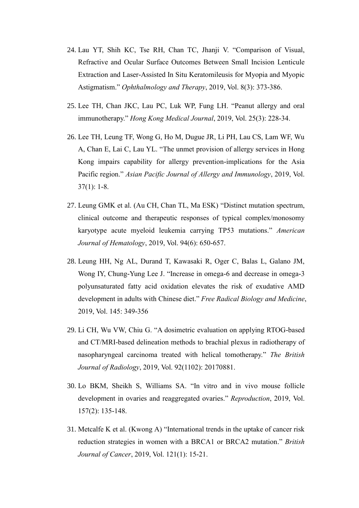- 24. Lau YT, Shih KC, Tse RH, Chan TC, Jhanji V. "Comparison of Visual, Refractive and Ocular Surface Outcomes Between Small Incision Lenticule Extraction and Laser-Assisted In Situ Keratomileusis for Myopia and Myopic Astigmatism." *Ophthalmology and Therapy*, 2019, Vol. 8(3): 373-386.
- 25. Lee TH, Chan JKC, Lau PC, Luk WP, Fung LH. "Peanut allergy and oral immunotherapy." *Hong Kong Medical Journal*, 2019, Vol. 25(3): 228-34.
- 26. Lee TH, Leung TF, Wong G, Ho M, Dugue JR, Li PH, Lau CS, Lam WF, Wu A, Chan E, Lai C, Lau YL. "The unmet provision of allergy services in Hong Kong impairs capability for allergy prevention-implications for the Asia Pacific region." *Asian Pacific Journal of Allergy and Immunology*, 2019, Vol. 37(1): 1-8.
- 27. Leung GMK et al. (Au CH, Chan TL, Ma ESK) "Distinct mutation spectrum, clinical outcome and therapeutic responses of typical complex/monosomy karyotype acute myeloid leukemia carrying TP53 mutations." *American Journal of Hematology*, 2019, Vol. 94(6): 650-657.
- 28. Leung HH, Ng AL, Durand T, Kawasaki R, Oger C, Balas L, Galano JM, Wong IY, Chung-Yung Lee J. "Increase in omega-6 and decrease in omega-3 polyunsaturated fatty acid oxidation elevates the risk of exudative AMD development in adults with Chinese diet." *Free Radical Biology and Medicine*, 2019, Vol. 145: 349-356
- 29. Li CH, Wu VW, Chiu G. "A dosimetric evaluation on applying RTOG-based and CT/MRI-based delineation methods to brachial plexus in radiotherapy of nasopharyngeal carcinoma treated with helical tomotherapy." *The British Journal of Radiology*, 2019, Vol. 92(1102): 20170881.
- 30. Lo BKM, Sheikh S, Williams SA. "In vitro and in vivo mouse follicle development in ovaries and reaggregated ovaries." *Reproduction*, 2019, Vol. 157(2): 135-148.
- 31. Metcalfe K et al. (Kwong A) "International trends in the uptake of cancer risk reduction strategies in women with a BRCA1 or BRCA2 mutation." *British Journal of Cancer*, 2019, Vol. 121(1): 15-21.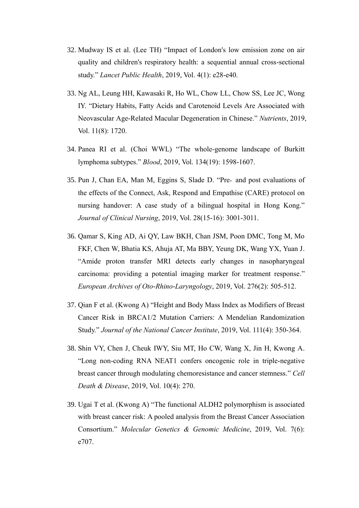- 32. Mudway IS et al. (Lee TH) "Impact of London's low emission zone on air quality and children's respiratory health: a sequential annual cross-sectional study." *Lancet Public Health*, 2019, Vol. 4(1): e28-e40.
- 33. Ng AL, Leung HH, Kawasaki R, Ho WL, Chow LL, Chow SS, Lee JC, Wong IY. "Dietary Habits, Fatty Acids and Carotenoid Levels Are Associated with Neovascular Age-Related Macular Degeneration in Chinese." *Nutrients*, 2019, Vol. 11(8): 1720.
- 34. Panea RI et al. (Choi WWL) "The whole-genome landscape of Burkitt lymphoma subtypes." *Blood*, 2019, Vol. 134(19): 1598-1607.
- 35. Pun J, Chan EA, Man M, Eggins S, Slade D. "Pre‐ and post evaluations of the effects of the Connect, Ask, Respond and Empathise (CARE) protocol on nursing handover: A case study of a bilingual hospital in Hong Kong." *Journal of Clinical Nursing*, 2019, Vol. 28(15-16): 3001-3011.
- 36. Qamar S, King AD, Ai QY, Law BKH, Chan JSM, Poon DMC, Tong M, Mo FKF, Chen W, Bhatia KS, Ahuja AT, Ma BBY, Yeung DK, Wang YX, Yuan J. "Amide proton transfer MRI detects early changes in nasopharyngeal carcinoma: providing a potential imaging marker for treatment response." *European Archives of Oto-Rhino-Laryngology*, 2019, Vol. 276(2): 505-512.
- 37. Qian F et al. (Kwong A) "Height and Body Mass Index as Modifiers of Breast Cancer Risk in BRCA1/2 Mutation Carriers: A Mendelian Randomization Study." *Journal of the National Cancer Institute*, 2019, Vol. 111(4): 350-364.
- 38. Shin VY, Chen J, Cheuk IWY, Siu MT, Ho CW, Wang X, Jin H, Kwong A. "Long non-coding RNA NEAT1 confers oncogenic role in triple-negative breast cancer through modulating chemoresistance and cancer stemness." *Cell Death & Disease*, 2019, Vol. 10(4): 270.
- 39. Ugai T et al. (Kwong A) "The functional ALDH2 polymorphism is associated with breast cancer risk: A pooled analysis from the Breast Cancer Association Consortium." *Molecular Genetics & Genomic Medicine*, 2019, Vol. 7(6): e707.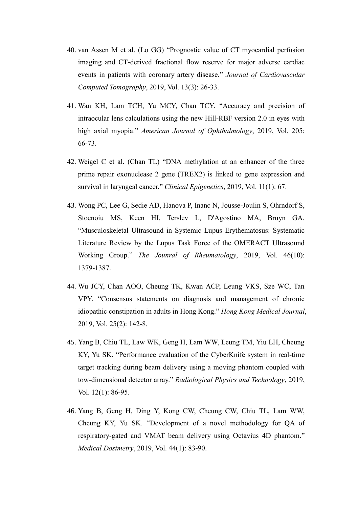- 40. van Assen M et al. (Lo GG) "Prognostic value of CT myocardial perfusion imaging and CT-derived fractional flow reserve for major adverse cardiac events in patients with coronary artery disease." *Journal of Cardiovascular Computed Tomography*, 2019, Vol. 13(3): 26-33.
- 41. Wan KH, Lam TCH, Yu MCY, Chan TCY. "Accuracy and precision of intraocular lens calculations using the new Hill-RBF version 2.0 in eyes with high axial myopia." *American Journal of Ophthalmology*, 2019, Vol. 205: 66-73.
- 42. Weigel C et al. (Chan TL) "DNA methylation at an enhancer of the three prime repair exonuclease 2 gene (TREX2) is linked to gene expression and survival in laryngeal cancer." *Clinical Epigenetics*, 2019, Vol. 11(1): 67.
- 43. Wong PC, Lee G, Sedie AD, Hanova P, Inanc N, Jousse-Joulin S, Ohrndorf S, Stoenoiu MS, Keen HI, Terslev L, D'Agostino MA, Bruyn GA. "Musculoskeletal Ultrasound in Systemic Lupus Erythematosus: Systematic Literature Review by the Lupus Task Force of the OMERACT Ultrasound Working Group." *The Jounral of Rheumatology*, 2019, Vol. 46(10): 1379-1387.
- 44. Wu JCY, Chan AOO, Cheung TK, Kwan ACP, Leung VKS, Sze WC, Tan VPY. "Consensus statements on diagnosis and management of chronic idiopathic constipation in adults in Hong Kong." *Hong Kong Medical Journal*, 2019, Vol. 25(2): 142-8.
- 45. Yang B, Chiu TL, Law WK, Geng H, Lam WW, Leung TM, Yiu LH, Cheung KY, Yu SK. "Performance evaluation of the CyberKnife system in real-time target tracking during beam delivery using a moving phantom coupled with tow-dimensional detector array." *Radiological Physics and Technology*, 2019, Vol. 12(1): 86-95.
- 46. Yang B, Geng H, Ding Y, Kong CW, Cheung CW, Chiu TL, Lam WW, Cheung KY, Yu SK. "Development of a novel methodology for QA of respiratory-gated and VMAT beam delivery using Octavius 4D phantom." *Medical Dosimetry*, 2019, Vol. 44(1): 83-90.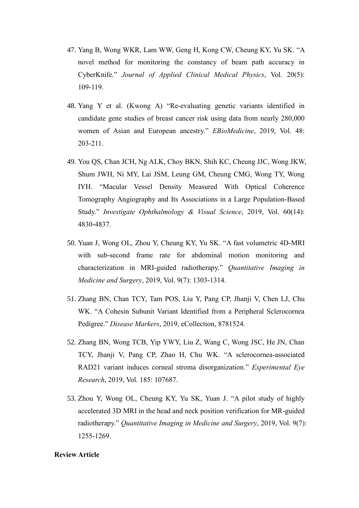- 47. Yang B, Wong WKR, Lam WW, Geng H, Kong CW, Cheung KY, Yu SK. "A novel method for monitoring the constancy of beam path accuracy in CyberKnife." *Journal of Applied Clinical Medical Physics*, Vol. 20(5): 109-119.
- 48. Yang Y et al. (Kwong A) "Re-evaluating genetic variants identified in candidate gene studies of breast cancer risk using data from nearly 280,000 women of Asian and European ancestry." *EBioMedicine*, 2019, Vol. 48: 203-211.
- 49. You QS, Chan JCH, Ng ALK, Choy BKN, Shih KC, Cheung JJC, Wong JKW, Shum JWH, Ni MY, Lai JSM, Leung GM, Cheung CMG, Wong TY, Wong IYH. "Macular Vessel Density Measured With Optical Coherence Tomography Angiography and Its Associations in a Large Population-Based Study." *Investigate Ophthalmology & Visual Science*, 2019, Vol. 60(14): 4830-4837.
- 50. Yuan J, Wong OL, Zhou Y, Cheung KY, Yu SK. "A fast volumetric 4D-MRI with sub-second frame rate for abdominal motion monitoring and characterization in MRI-guided radiotherapy." *Quantitative Imaging in Medicine and Surgery*, 2019, Vol. 9(7): 1303-1314.
- 51. Zhang BN, Chan TCY, Tam POS, Liu Y, Pang CP, Jhanji V, Chen LJ, Chu WK. "A Cohesin Subunit Variant Identified from a Peripheral Sclerocornea Pedigree." *Disease Markers*, 2019, eCollection, 8781524.
- 52. Zhang BN, Wong TCB, Yip YWY, Liu Z, Wang C, Wong JSC, He JN, Chan TCY, Jhanji V, Pang CP, Zhao H, Chu WK. "A sclerocornea-associated RAD21 variant induces corneal stroma disorganization." *Experimental Eye Research*, 2019, Vol. 185: 107687.
- 53. Zhou Y, Wong OL, Cheung KY, Yu SK, Yuan J. "A pilot study of highly accelerated 3D MRI in the head and neck position verification for MR-guided radiotherapy." *Quantitative Imaging in Medicine and Surgery*, 2019, Vol. 9(7): 1255-1269.

# **Review Article**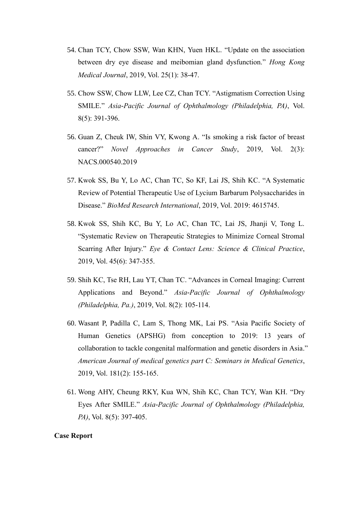- 54. Chan TCY, Chow SSW, Wan KHN, Yuen HKL. "Update on the association between dry eye disease and meibomian gland dysfunction." *Hong Kong Medical Journal*, 2019, Vol. 25(1): 38-47.
- 55. Chow SSW, Chow LLW, Lee CZ, Chan TCY. "Astigmatism Correction Using SMILE." *Asia-Pacific Journal of Ophthalmology (Philadelphia, PA)*, Vol. 8(5): 391-396.
- 56. Guan Z, Cheuk IW, Shin VY, Kwong A. "Is smoking a risk factor of breast cancer?" *Novel Approaches in Cancer Study*, 2019, Vol. 2(3): NACS.000540.2019
- 57. Kwok SS, Bu Y, Lo AC, Chan TC, So KF, Lai JS, Shih KC. "A Systematic Review of Potential Therapeutic Use of Lycium Barbarum Polysaccharides in Disease." *BioMed Research International*, 2019, Vol. 2019: 4615745.
- 58. Kwok SS, Shih KC, Bu Y, Lo AC, Chan TC, Lai JS, Jhanji V, Tong L. "Systematic Review on Therapeutic Strategies to Minimize Corneal Stromal Scarring After Injury." *Eye & Contact Lens: Science & Clinical Practice*, 2019, Vol. 45(6): 347-355.
- 59. Shih KC, Tse RH, Lau YT, Chan TC. "Advances in Corneal Imaging: Current Applications and Beyond." *Asia-Pacific Journal of Ophthalmology (Philadelphia, Pa.)*, 2019, Vol. 8(2): 105-114.
- 60. Wasant P, Padilla C, Lam S, Thong MK, Lai PS. "Asia Pacific Society of Human Genetics (APSHG) from conception to 2019: 13 years of collaboration to tackle congenital malformation and genetic disorders in Asia." *American Journal of medical genetics part C: Seminars in Medical Genetics*, 2019, Vol. 181(2): 155-165.
- 61. Wong AHY, Cheung RKY, Kua WN, Shih KC, Chan TCY, Wan KH. "Dry Eyes After SMILE." *Asia-Pacific Journal of Ophthalmology (Philadelphia, PA*), Vol. 8(5): 397-405.

## **Case Report**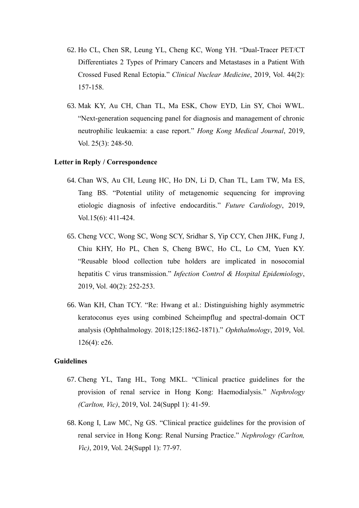- 62. Ho CL, Chen SR, Leung YL, Cheng KC, Wong YH. "Dual-Tracer PET/CT Differentiates 2 Types of Primary Cancers and Metastases in a Patient With Crossed Fused Renal Ectopia." *Clinical Nuclear Medicine*, 2019, Vol. 44(2): 157-158.
- 63. Mak KY, Au CH, Chan TL, Ma ESK, Chow EYD, Lin SY, Choi WWL. "Next-generation sequencing panel for diagnosis and management of chronic neutrophilic leukaemia: a case report." *Hong Kong Medical Journal*, 2019, Vol. 25(3): 248-50.

#### **Letter in Reply / Correspondence**

- 64. Chan WS, Au CH, Leung HC, Ho DN, Li D, Chan TL, Lam TW, Ma ES, Tang BS. "Potential utility of metagenomic sequencing for improving etiologic diagnosis of infective endocarditis." *Future Cardiology*, 2019, Vol.15(6): 411-424.
- 65. Cheng VCC, Wong SC, Wong SCY, Sridhar S, Yip CCY, Chen JHK, Fung J, Chiu KHY, Ho PL, Chen S, Cheng BWC, Ho CL, Lo CM, Yuen KY. "Reusable blood collection tube holders are implicated in nosocomial hepatitis C virus transmission." *Infection Control & Hospital Epidemiology*, 2019, Vol. 40(2): 252-253.
- 66. Wan KH, Chan TCY. "Re: Hwang et al.: Distinguishing highly asymmetric keratoconus eyes using combined Scheimpflug and spectral-domain OCT analysis (Ophthalmology. 2018;125:1862-1871)." *Ophthalmology*, 2019, Vol. 126(4): e26.

#### **Guidelines**

- 67. Cheng YL, Tang HL, Tong MKL. "Clinical practice guidelines for the provision of renal service in Hong Kong: Haemodialysis." *Nephrology (Carlton, Vic)*, 2019, Vol. 24(Suppl 1): 41-59.
- 68. Kong I, Law MC, Ng GS. "Clinical practice guidelines for the provision of renal service in Hong Kong: Renal Nursing Practice." *Nephrology (Carlton, Vic)*, 2019, Vol. 24(Suppl 1): 77-97.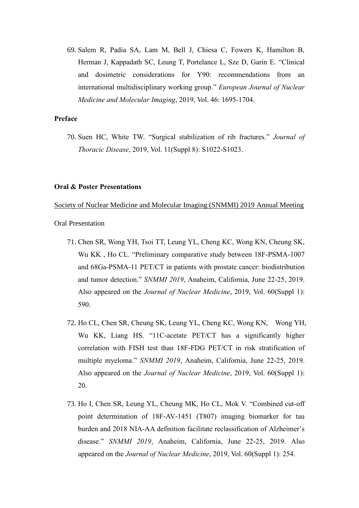69. Salem R, Padia SA, Lam M, Bell J, Chiesa C, Fowers K, Hamilton B, Herman J, Kappadath SC, Leung T, Portelance L, Sze D, Garin E. "Clinical and dosimetric considerations for Y90: recommendations from an international multidisciplinary working group." *European Journal of Nuclear Medicine and Molecular Imaging*, 2019, Vol. 46: 1695-1704.

# **Preface**

70. Suen HC, White TW. "Surgical stabilization of rib fractures." *Journal of Thoracic Disease*, 2019, Vol. 11(Suppl 8): S1022-S1023.

#### **Oral & Poster Presentations**

Society of Nuclear Medicine and Molecular Imaging (SNMMI) 2019 Annual Meeting

- 71. Chen SR, Wong YH, Tsoi TT, Leung YL, Cheng KC, Wong KN, Cheung SK, Wu KK , Ho CL. "Preliminary comparative study between 18F-PSMA-1007 and 68Ga-PSMA-11 PET/CT in patients with prostate cancer: biodistribution and tumor detection." *SNMMI 2019*, Anaheim, California, June 22-25, 2019. Also appeared on the *Journal of Nuclear Medicine*, 2019, Vol. 60(Suppl 1): 590.
- 72. Ho CL, Chen SR, Cheung SK, Leung YL, Cheng KC, Wong KN, Wong YH, Wu KK, Liang HS. "11C-acetate PET/CT has a significantly higher correlation with FISH test than 18F-FDG PET/CT in risk stratification of multiple myeloma." *SNMMI 2019*, Anaheim, California, June 22-25, 2019. Also appeared on the *Journal of Nuclear Medicine*, 2019, Vol. 60(Suppl 1): 20.
- 73. Ho I, Chen SR, Leung YL, Cheung MK, Ho CL, Mok V. "Combined cut-off point determination of 18F-AV-1451 (T807) imaging biomarker for tau burden and 2018 NIA-AA definition facilitate reclassification of Alzheimer's disease." *SNMMI 2019*, Anaheim, California, June 22-25, 2019. Also appeared on the *Journal of Nuclear Medicine*, 2019, Vol. 60(Suppl 1): 254.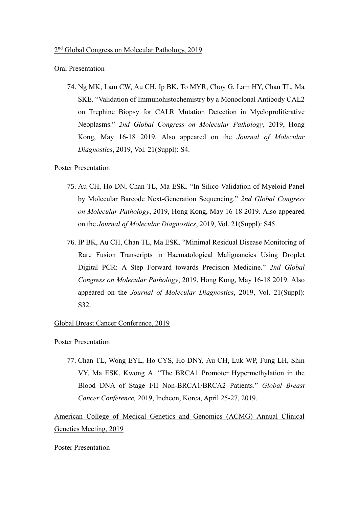#### Oral Presentation

74. Ng MK, Lam CW, Au CH, Ip BK, To MYR, Choy G, Lam HY, Chan TL, Ma SKE. "Validation of Immunohistochemistry by a Monoclonal Antibody CAL2 on Trephine Biopsy for CALR Mutation Detection in Myeloproliferative Neoplasms." *2nd Global Congress on Molecular Pathology*, 2019, Hong Kong, May 16-18 2019. Also appeared on the *Journal of Molecular Diagnostics*, 2019, Vol. 21(Suppl): S4.

# Poster Presentation

- 75. Au CH, Ho DN, Chan TL, Ma ESK. "In Silico Validation of Myeloid Panel by Molecular Barcode Next-Generation Sequencing." *2nd Global Congress on Molecular Pathology*, 2019, Hong Kong, May 16-18 2019. Also appeared on the *Journal of Molecular Diagnostics*, 2019, Vol. 21(Suppl): S45.
- 76. IP BK, Au CH, Chan TL, Ma ESK. "Minimal Residual Disease Monitoring of Rare Fusion Transcripts in Haematological Malignancies Using Droplet Digital PCR: A Step Forward towards Precision Medicine." *2nd Global Congress on Molecular Pathology*, 2019, Hong Kong, May 16-18 2019. Also appeared on the *Journal of Molecular Diagnostics*, 2019, Vol. 21(Suppl): S32.

#### Global Breast Cancer Conference, 2019

Poster Presentation

77. Chan TL, Wong EYL, Ho CYS, Ho DNY, Au CH, Luk WP, Fung LH, Shin VY, Ma ESK, Kwong A. "The BRCA1 Promoter Hypermethylation in the Blood DNA of Stage I/II Non-BRCA1/BRCA2 Patients." *Global Breast Cancer Conference,* 2019, Incheon, Korea, April 25-27, 2019.

American College of Medical Genetics and Genomics (ACMG) Annual Clinical Genetics Meeting, 2019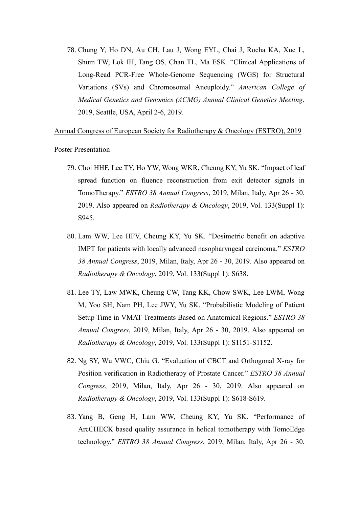78. Chung Y, Ho DN, Au CH, Lau J, Wong EYL, Chai J, Rocha KA, Xue L, Shum TW, Lok IH, Tang OS, Chan TL, Ma ESK. "Clinical Applications of Long-Read PCR-Free Whole-Genome Sequencing (WGS) for Structural Variations (SVs) and Chromosomal Aneuploidy." *American College of Medical Genetics and Genomics (ACMG) Annual Clinical Genetics Meeting*, 2019, Seattle, USA, April 2-6, 2019.

Annual Congress of European Society for Radiotherapy & Oncology (ESTRO), 2019

- 79. Choi HHF, Lee TY, Ho YW, Wong WKR, Cheung KY, Yu SK. "Impact of leaf spread function on fluence reconstruction from exit detector signals in TomoTherapy." *ESTRO 38 Annual Congress*, 2019, Milan, Italy, Apr 26 - 30, 2019. Also appeared on *Radiotherapy & Oncology*, 2019, Vol. 133(Suppl 1): S945.
- 80. Lam WW, Lee HFV, Cheung KY, Yu SK. "Dosimetric benefit on adaptive IMPT for patients with locally advanced nasopharyngeal carcinoma." *ESTRO 38 Annual Congress*, 2019, Milan, Italy, Apr 26 - 30, 2019. Also appeared on *Radiotherapy & Oncology*, 2019, Vol. 133(Suppl 1): S638.
- 81. Lee TY, Law MWK, Cheung CW, Tang KK, Chow SWK, Lee LWM, Wong M, Yoo SH, Nam PH, Lee JWY, Yu SK. "Probabilistic Modeling of Patient Setup Time in VMAT Treatments Based on Anatomical Regions." *ESTRO 38 Annual Congress*, 2019, Milan, Italy, Apr 26 - 30, 2019. Also appeared on *Radiotherapy & Oncology*, 2019, Vol. 133(Suppl 1): S1151-S1152.
- 82. Ng SY, Wu VWC, Chiu G. "Evaluation of CBCT and Orthogonal X-ray for Position verification in Radiotherapy of Prostate Cancer." *ESTRO 38 Annual Congress*, 2019, Milan, Italy, Apr 26 - 30, 2019. Also appeared on *Radiotherapy & Oncology*, 2019, Vol. 133(Suppl 1): S618-S619.
- 83. Yang B, Geng H, Lam WW, Cheung KY, Yu SK. "Performance of ArcCHECK based quality assurance in helical tomotherapy with TomoEdge technology." *ESTRO 38 Annual Congress*, 2019, Milan, Italy, Apr 26 - 30,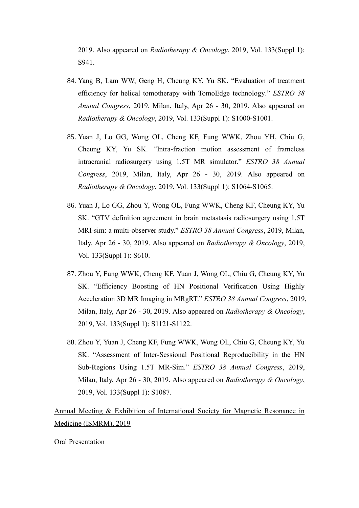2019. Also appeared on *Radiotherapy & Oncology*, 2019, Vol. 133(Suppl 1): S941.

- 84. Yang B, Lam WW, Geng H, Cheung KY, Yu SK. "Evaluation of treatment efficiency for helical tomotherapy with TomoEdge technology." *ESTRO 38 Annual Congress*, 2019, Milan, Italy, Apr 26 - 30, 2019. Also appeared on *Radiotherapy & Oncology*, 2019, Vol. 133(Suppl 1): S1000-S1001.
- 85. Yuan J, Lo GG, Wong OL, Cheng KF, Fung WWK, Zhou YH, Chiu G, Cheung KY, Yu SK. "Intra-fraction motion assessment of frameless intracranial radiosurgery using 1.5T MR simulator." *ESTRO 38 Annual Congress*, 2019, Milan, Italy, Apr 26 - 30, 2019. Also appeared on *Radiotherapy & Oncology*, 2019, Vol. 133(Suppl 1): S1064-S1065.
- 86. Yuan J, Lo GG, Zhou Y, Wong OL, Fung WWK, Cheng KF, Cheung KY, Yu SK. "GTV definition agreement in brain metastasis radiosurgery using 1.5T MRI-sim: a multi-observer study." *ESTRO 38 Annual Congress*, 2019, Milan, Italy, Apr 26 - 30, 2019. Also appeared on *Radiotherapy & Oncology*, 2019, Vol. 133(Suppl 1): S610.
- 87. Zhou Y, Fung WWK, Cheng KF, Yuan J, Wong OL, Chiu G, Cheung KY, Yu SK. "Efficiency Boosting of HN Positional Verification Using Highly Acceleration 3D MR Imaging in MRgRT." *ESTRO 38 Annual Congress*, 2019, Milan, Italy, Apr 26 - 30, 2019. Also appeared on *Radiotherapy & Oncology*, 2019, Vol. 133(Suppl 1): S1121-S1122.
- 88. Zhou Y, Yuan J, Cheng KF, Fung WWK, Wong OL, Chiu G, Cheung KY, Yu SK. "Assessment of Inter-Sessional Positional Reproducibility in the HN Sub-Regions Using 1.5T MR-Sim." *ESTRO 38 Annual Congress*, 2019, Milan, Italy, Apr 26 - 30, 2019. Also appeared on *Radiotherapy & Oncology*, 2019, Vol. 133(Suppl 1): S1087.

Annual Meeting & Exhibition of International Society for Magnetic Resonance in Medicine (ISMRM), 2019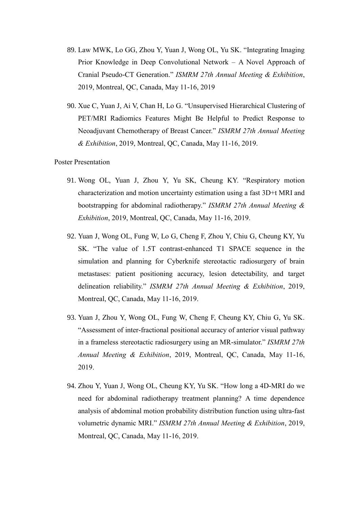- 89. Law MWK, Lo GG, Zhou Y, Yuan J, Wong OL, Yu SK. "Integrating Imaging Prior Knowledge in Deep Convolutional Network – A Novel Approach of Cranial Pseudo-CT Generation." *ISMRM 27th Annual Meeting & Exhibition*, 2019, Montreal, QC, Canada, May 11-16, 2019
- 90. Xue C, Yuan J, Ai V, Chan H, Lo G. "Unsupervised Hierarchical Clustering of PET/MRI Radiomics Features Might Be Helpful to Predict Response to Neoadjuvant Chemotherapy of Breast Cancer." *ISMRM 27th Annual Meeting & Exhibition*, 2019, Montreal, QC, Canada, May 11-16, 2019.

- 91. Wong OL, Yuan J, Zhou Y, Yu SK, Cheung KY. "Respiratory motion characterization and motion uncertainty estimation using a fast 3D+t MRI and bootstrapping for abdominal radiotherapy." *ISMRM 27th Annual Meeting & Exhibition*, 2019, Montreal, QC, Canada, May 11-16, 2019.
- 92. Yuan J, Wong OL, Fung W, Lo G, Cheng F, Zhou Y, Chiu G, Cheung KY, Yu SK. "The value of 1.5T contrast-enhanced T1 SPACE sequence in the simulation and planning for Cyberknife stereotactic radiosurgery of brain metastases: patient positioning accuracy, lesion detectability, and target delineation reliability." *ISMRM 27th Annual Meeting & Exhibition*, 2019, Montreal, QC, Canada, May 11-16, 2019.
- 93. Yuan J, Zhou Y, Wong OL, Fung W, Cheng F, Cheung KY, Chiu G, Yu SK. "Assessment of inter-fractional positional accuracy of anterior visual pathway in a frameless stereotactic radiosurgery using an MR-simulator." *ISMRM 27th Annual Meeting & Exhibition*, 2019, Montreal, QC, Canada, May 11-16, 2019.
- 94. Zhou Y, Yuan J, Wong OL, Cheung KY, Yu SK. "How long a 4D-MRI do we need for abdominal radiotherapy treatment planning? A time dependence analysis of abdominal motion probability distribution function using ultra-fast volumetric dynamic MRI." *ISMRM 27th Annual Meeting & Exhibition*, 2019, Montreal, QC, Canada, May 11-16, 2019.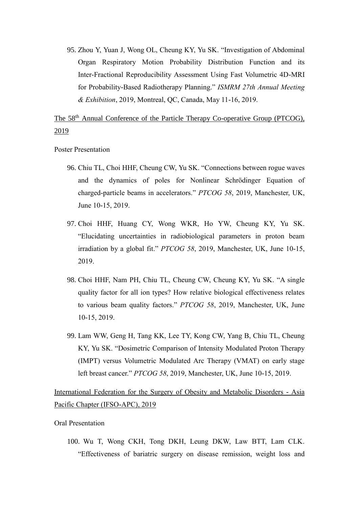95. Zhou Y, Yuan J, Wong OL, Cheung KY, Yu SK. "Investigation of Abdominal Organ Respiratory Motion Probability Distribution Function and its Inter-Fractional Reproducibility Assessment Using Fast Volumetric 4D-MRI for Probability-Based Radiotherapy Planning." *ISMRM 27th Annual Meeting & Exhibition*, 2019, Montreal, QC, Canada, May 11-16, 2019.

The 58<sup>th</sup> Annual Conference of the Particle Therapy Co-operative Group (PTCOG), 2019

Poster Presentation

- 96. Chiu TL, Choi HHF, Cheung CW, Yu SK. "Connections between rogue waves and the dynamics of poles for Nonlinear Schrödinger Equation of charged-particle beams in accelerators." *PTCOG 58*, 2019, Manchester, UK, June 10-15, 2019.
- 97. Choi HHF, Huang CY, Wong WKR, Ho YW, Cheung KY, Yu SK. "Elucidating uncertainties in radiobiological parameters in proton beam irradiation by a global fit." *PTCOG 58*, 2019, Manchester, UK, June 10-15, 2019.
- 98. Choi HHF, Nam PH, Chiu TL, Cheung CW, Cheung KY, Yu SK. "A single quality factor for all ion types? How relative biological effectiveness relates to various beam quality factors." *PTCOG 58*, 2019, Manchester, UK, June 10-15, 2019.
- 99. Lam WW, Geng H, Tang KK, Lee TY, Kong CW, Yang B, Chiu TL, Cheung KY, Yu SK. "Dosimetric Comparison of Intensity Modulated Proton Therapy (IMPT) versus Volumetric Modulated Arc Therapy (VMAT) on early stage left breast cancer." *PTCOG 58*, 2019, Manchester, UK, June 10-15, 2019.

International Federation for the Surgery of Obesity and Metabolic Disorders - Asia Pacific Chapter (IFSO-APC), 2019

Oral Presentation

100. Wu T, Wong CKH, Tong DKH, Leung DKW, Law BTT, Lam CLK. "Effectiveness of bariatric surgery on disease remission, weight loss and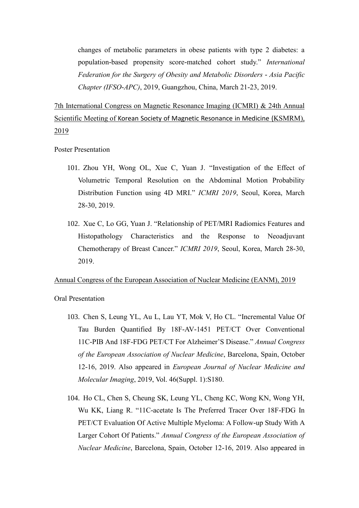changes of metabolic parameters in obese patients with type 2 diabetes: a population-based propensity score-matched cohort study." *International Federation for the Surgery of Obesity and Metabolic Disorders - Asia Pacific Chapter (IFSO-APC)*, 2019, Guangzhou, China, March 21-23, 2019.

7th International Congress on Magnetic Resonance Imaging (ICMRI) & 24th Annual Scientific Meeting of Korean Society of Magnetic Resonance in Medicine (KSMRM), 2019

Poster Presentation

- 101. Zhou YH, Wong OL, Xue C, Yuan J. "Investigation of the Effect of Volumetric Temporal Resolution on the Abdominal Motion Probability Distribution Function using 4D MRI." *ICMRI 2019*, Seoul, Korea, March 28-30, 2019.
- 102. Xue C, Lo GG, Yuan J. "Relationship of PET/MRI Radiomics Features and Histopathology Characteristics and the Response to Neoadjuvant Chemotherapy of Breast Cancer." *ICMRI 2019*, Seoul, Korea, March 28-30, 2019.

#### Annual Congress of the European Association of Nuclear Medicine (EANM), 2019

- 103. Chen S, Leung YL, Au L, Lau YT, Mok V, Ho CL. "Incremental Value Of Tau Burden Quantified By 18F-AV-1451 PET/CT Over Conventional 11C-PIB And 18F-FDG PET/CT For Alzheimer'S Disease." *Annual Congress of the European Association of Nuclear Medicine*, Barcelona, Spain, October 12-16, 2019. Also appeared in *European Journal of Nuclear Medicine and Molecular Imaging*, 2019, Vol. 46(Suppl. 1):S180.
- 104. Ho CL, Chen S, Cheung SK, Leung YL, Cheng KC, Wong KN, Wong YH, Wu KK, Liang R. "11C-acetate Is The Preferred Tracer Over 18F-FDG In PET/CT Evaluation Of Active Multiple Myeloma: A Follow-up Study With A Larger Cohort Of Patients." *Annual Congress of the European Association of Nuclear Medicine*, Barcelona, Spain, October 12-16, 2019. Also appeared in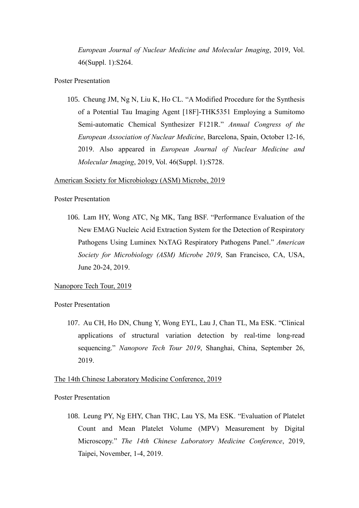*European Journal of Nuclear Medicine and Molecular Imaging*, 2019, Vol. 46(Suppl. 1):S264.

## Poster Presentation

105. Cheung JM, Ng N, Liu K, Ho CL. "A Modified Procedure for the Synthesis of a Potential Tau Imaging Agent [18F]-THK5351 Employing a Sumitomo Semi-automatic Chemical Synthesizer F121R." *Annual Congress of the European Association of Nuclear Medicine*, Barcelona, Spain, October 12-16, 2019. Also appeared in *European Journal of Nuclear Medicine and Molecular Imaging*, 2019, Vol. 46(Suppl. 1):S728.

#### American Society for Microbiology (ASM) Microbe, 2019

#### Poster Presentation

106. Lam HY, Wong ATC, Ng MK, Tang BSF. "Performance Evaluation of the New EMAG Nucleic Acid Extraction System for the Detection of Respiratory Pathogens Using Luminex NxTAG Respiratory Pathogens Panel." *American Society for Microbiology (ASM) Microbe 2019*, San Francisco, CA, USA, June 20-24, 2019.

# Nanopore Tech Tour, 2019

Poster Presentation

107. Au CH, Ho DN, Chung Y, Wong EYL, Lau J, Chan TL, Ma ESK. "Clinical applications of structural variation detection by real-time long-read sequencing." *Nanopore Tech Tour 2019*, Shanghai, China, September 26, 2019.

# The 14th Chinese Laboratory Medicine Conference, 2019

Poster Presentation

108. Leung PY, Ng EHY, Chan THC, Lau YS, Ma ESK. "Evaluation of Platelet Count and Mean Platelet Volume (MPV) Measurement by Digital Microscopy." *The 14th Chinese Laboratory Medicine Conference*, 2019, Taipei, November, 1-4, 2019.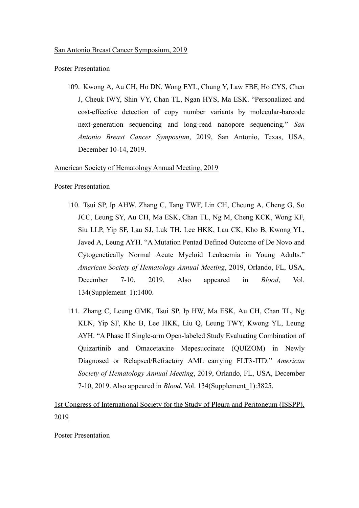#### Poster Presentation

109. Kwong A, Au CH, Ho DN, Wong EYL, Chung Y, Law FBF, Ho CYS, Chen J, Cheuk IWY, Shin VY, Chan TL, Ngan HYS, Ma ESK. "Personalized and cost-effective detection of copy number variants by molecular-barcode next-generation sequencing and long-read nanopore sequencing." *San Antonio Breast Cancer Symposium*, 2019, San Antonio, Texas, USA, December 10-14, 2019.

# American Society of Hematology Annual Meeting, 2019

#### Poster Presentation

- 110. Tsui SP, Ip AHW, Zhang C, Tang TWF, Lin CH, Cheung A, Cheng G, So JCC, Leung SY, Au CH, Ma ESK, Chan TL, Ng M, Cheng KCK, Wong KF, Siu LLP, Yip SF, Lau SJ, Luk TH, Lee HKK, Lau CK, Kho B, Kwong YL, Javed A, Leung AYH. "A Mutation Pentad Defined Outcome of De Novo and Cytogenetically Normal Acute Myeloid Leukaemia in Young Adults." *American Society of Hematology Annual Meeting*, 2019, Orlando, FL, USA, December 7-10, 2019. Also appeared in *Blood*, Vol. 134(Supplement\_1):1400.
- 111. Zhang C, Leung GMK, Tsui SP, Ip HW, Ma ESK, Au CH, Chan TL, Ng KLN, Yip SF, Kho B, Lee HKK, Liu Q, Leung TWY, Kwong YL, Leung AYH. "A Phase II Single-arm Open-labeled Study Evaluating Combination of Quizartinib and Omacetaxine Mepesuccinate (QUIZOM) in Newly Diagnosed or Relapsed/Refractory AML carrying FLT3-ITD." *American Society of Hematology Annual Meeting*, 2019, Orlando, FL, USA, December 7-10, 2019. Also appeared in *Blood*, Vol. 134(Supplement\_1):3825.

1st Congress of International Society for the Study of Pleura and Peritoneum (ISSPP), 2019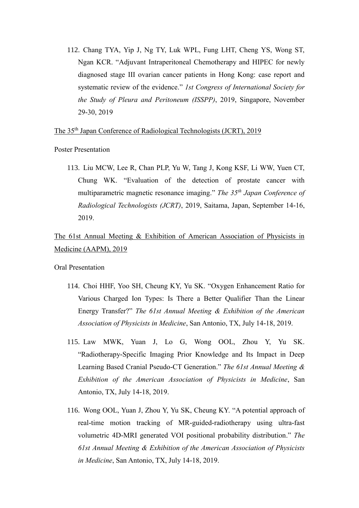112. Chang TYA, Yip J, Ng TY, Luk WPL, Fung LHT, Cheng YS, Wong ST, Ngan KCR. "Adjuvant Intraperitoneal Chemotherapy and HIPEC for newly diagnosed stage III ovarian cancer patients in Hong Kong: case report and systematic review of the evidence." *1st Congress of International Society for the Study of Pleura and Peritoneum (ISSPP)*, 2019, Singapore, November 29-30, 2019

The 35th Japan Conference of Radiological Technologists (JCRT), 2019

Poster Presentation

113. Liu MCW, Lee R, Chan PLP, Yu W, Tang J, Kong KSF, Li WW, Yuen CT, Chung WK. "Evaluation of the detection of prostate cancer with multiparametric magnetic resonance imaging." *The 35th Japan Conference of Radiological Technologists (JCRT)*, 2019, Saitama, Japan, September 14-16, 2019.

The 61st Annual Meeting & Exhibition of American Association of Physicists in Medicine (AAPM), 2019

- 114. Choi HHF, Yoo SH, Cheung KY, Yu SK. "Oxygen Enhancement Ratio for Various Charged Ion Types: Is There a Better Qualifier Than the Linear Energy Transfer?" *The 61st Annual Meeting & Exhibition of the American Association of Physicists in Medicine*, San Antonio, TX, July 14-18, 2019.
- 115. Law MWK, Yuan J, Lo G, Wong OOL, Zhou Y, Yu SK. "Radiotherapy-Specific Imaging Prior Knowledge and Its Impact in Deep Learning Based Cranial Pseudo-CT Generation." *The 61st Annual Meeting & Exhibition of the American Association of Physicists in Medicine*, San Antonio, TX, July 14-18, 2019.
- 116. Wong OOL, Yuan J, Zhou Y, Yu SK, Cheung KY. "A potential approach of real-time motion tracking of MR-guided-radiotherapy using ultra-fast volumetric 4D-MRI generated VOI positional probability distribution." *The 61st Annual Meeting & Exhibition of the American Association of Physicists in Medicine*, San Antonio, TX, July 14-18, 2019.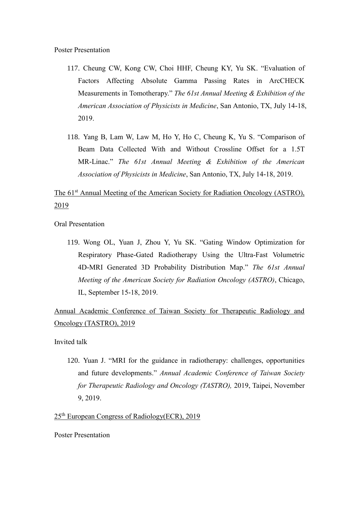- 117. Cheung CW, Kong CW, Choi HHF, Cheung KY, Yu SK. "Evaluation of Factors Affecting Absolute Gamma Passing Rates in ArcCHECK Measurements in Tomotherapy." *The 61st Annual Meeting & Exhibition of the American Association of Physicists in Medicine*, San Antonio, TX, July 14-18, 2019.
- 118. Yang B, Lam W, Law M, Ho Y, Ho C, Cheung K, Yu S. "Comparison of Beam Data Collected With and Without Crossline Offset for a 1.5T MR-Linac." *The 61st Annual Meeting & Exhibition of the American Association of Physicists in Medicine*, San Antonio, TX, July 14-18, 2019.

# The 61<sup>st</sup> Annual Meeting of the American Society for Radiation Oncology (ASTRO), 2019

Oral Presentation

119. Wong OL, Yuan J, Zhou Y, Yu SK. "Gating Window Optimization for Respiratory Phase-Gated Radiotherapy Using the Ultra-Fast Volumetric 4D-MRI Generated 3D Probability Distribution Map." *The 61st Annual Meeting of the American Society for Radiation Oncology (ASTRO)*, Chicago, IL, September 15-18, 2019.

Annual Academic Conference of Taiwan Society for Therapeutic Radiology and Oncology (TASTRO), 2019

Invited talk

120. Yuan J. "MRI for the guidance in radiotherapy: challenges, opportunities and future developments." *Annual Academic Conference of Taiwan Society for Therapeutic Radiology and Oncology (TASTRO),* 2019, Taipei, November 9, 2019.

25th European Congress of Radiology(ECR), 2019